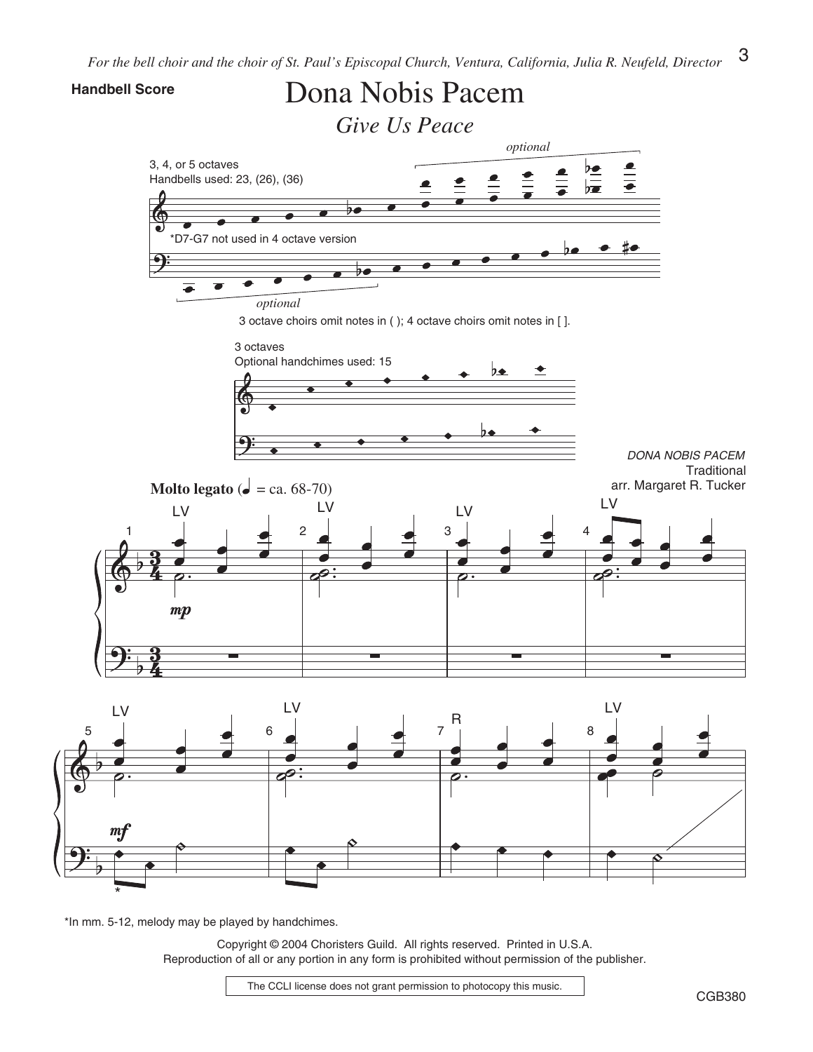

\*In mm. 5-12, melody may be played by handchimes.

Copyright © 2004 Choristers Guild. All rights reserved. Printed in U.S.A. Reproduction of all or any portion in any form is prohibited without permission of the publisher.

The CCLI license does not grant permission to photocopy this music.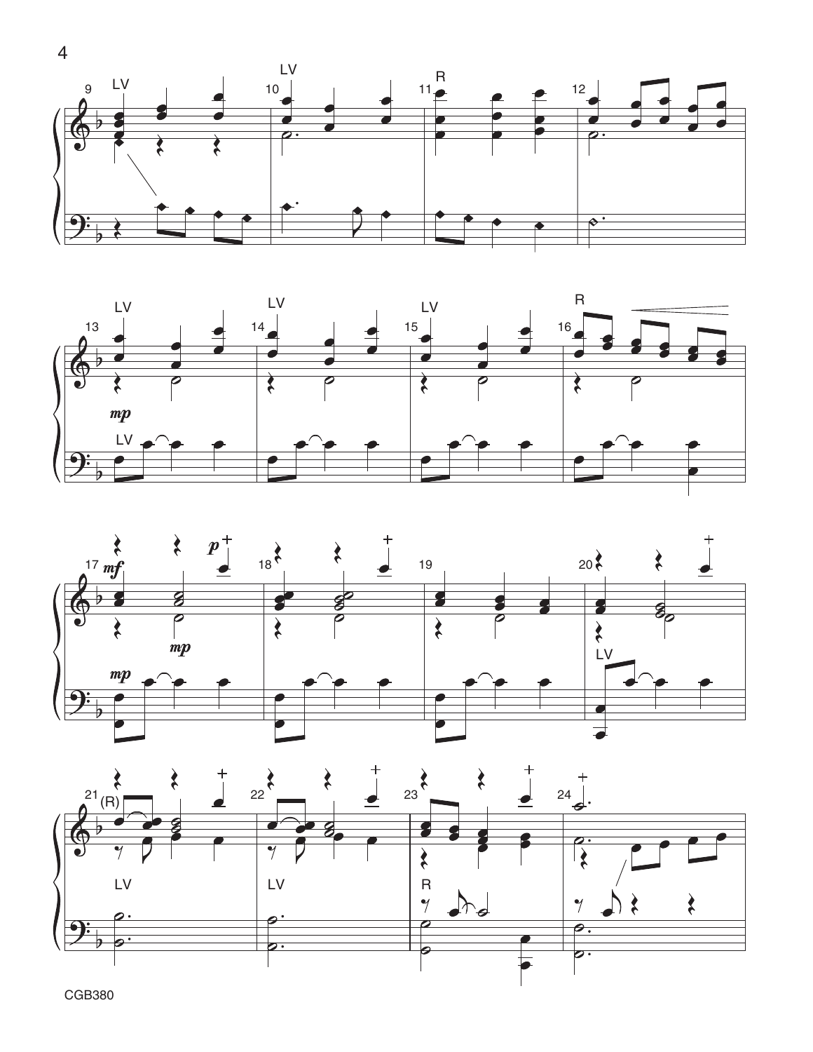